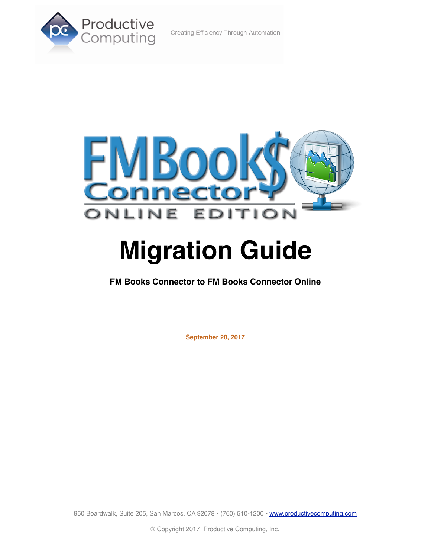#### Creating Efficiency Through Automation





# **Migration Guide**

**FM Books Connector to FM Books Connector Online**

**September 20, 2017**

950 Boardwalk, Suite 205, San Marcos, CA 92078 · (760) 510-1200 · [www.productivecomputing.com](http://www.productivecomputing.com)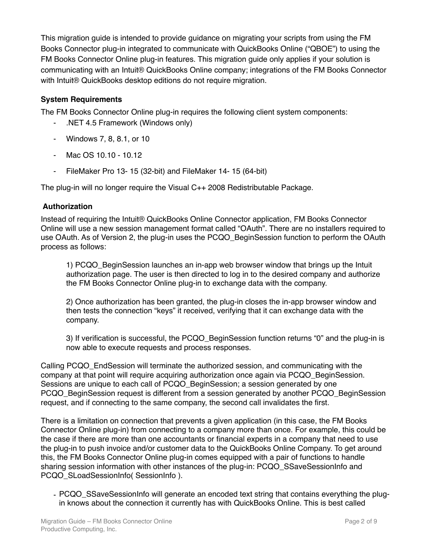This migration guide is intended to provide guidance on migrating your scripts from using the FM Books Connector plug-in integrated to communicate with QuickBooks Online ("QBOE") to using the FM Books Connector Online plug-in features. This migration guide only applies if your solution is communicating with an Intuit® QuickBooks Online company; integrations of the FM Books Connector with Intuit® QuickBooks desktop editions do not require migration.

## **System Requirements**

The FM Books Connector Online plug-in requires the following client system components:

- .NET 4.5 Framework (Windows only)
- Windows 7, 8, 8.1, or 10
- Mac OS 10.10 10.12
- FileMaker Pro 13- 15 (32-bit) and FileMaker 14- 15 (64-bit)

The plug-in will no longer require the Visual C++ 2008 Redistributable Package.

## **Authorization**

Instead of requiring the Intuit® QuickBooks Online Connector application, FM Books Connector Online will use a new session management format called "OAuth". There are no installers required to use OAuth. As of Version 2, the plug-in uses the PCQO\_BeginSession function to perform the OAuth process as follows:

1) PCQO\_BeginSession launches an in-app web browser window that brings up the Intuit authorization page. The user is then directed to log in to the desired company and authorize the FM Books Connector Online plug-in to exchange data with the company.

2) Once authorization has been granted, the plug-in closes the in-app browser window and then tests the connection "keys" it received, verifying that it can exchange data with the company.

3) If verification is successful, the PCQO\_BeginSession function returns "0" and the plug-in is now able to execute requests and process responses.

Calling PCQO\_EndSession will terminate the authorized session, and communicating with the company at that point will require acquiring authorization once again via PCQO\_BeginSession. Sessions are unique to each call of PCQO\_BeginSession; a session generated by one PCQO\_BeginSession request is different from a session generated by another PCQO\_BeginSession request, and if connecting to the same company, the second call invalidates the first.

There is a limitation on connection that prevents a given application (in this case, the FM Books Connector Online plug-in) from connecting to a company more than once. For example, this could be the case if there are more than one accountants or financial experts in a company that need to use the plug-in to push invoice and/or customer data to the QuickBooks Online Company. To get around this, the FM Books Connector Online plug-in comes equipped with a pair of functions to handle sharing session information with other instances of the plug-in: PCQO\_SSaveSessionInfo and PCQO\_SLoadSessionInfo( SessionInfo ).

- PCQO\_SSaveSessionInfo will generate an encoded text string that contains everything the plugin knows about the connection it currently has with QuickBooks Online. This is best called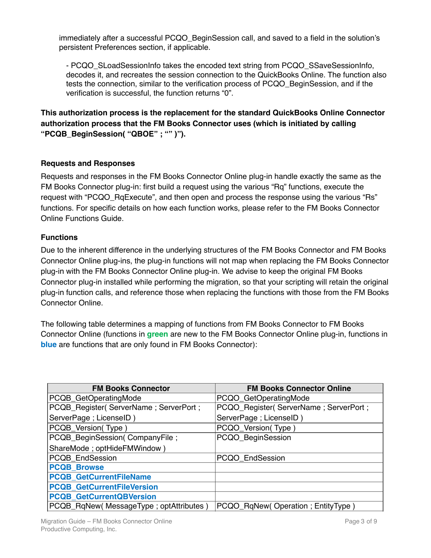immediately after a successful PCQO BeginSession call, and saved to a field in the solution's persistent Preferences section, if applicable.

- PCQO\_SLoadSessionInfo takes the encoded text string from PCQO\_SSaveSessionInfo, decodes it, and recreates the session connection to the QuickBooks Online. The function also tests the connection, similar to the verification process of PCQO\_BeginSession, and if the verification is successful, the function returns "0".

**This authorization process is the replacement for the standard QuickBooks Online Connector authorization process that the FM Books Connector uses (which is initiated by calling "PCQB\_BeginSession( "QBOE" ; "" )").**

## **Requests and Responses**

Requests and responses in the FM Books Connector Online plug-in handle exactly the same as the FM Books Connector plug-in: first build a request using the various "Rq" functions, execute the request with "PCQO\_RqExecute", and then open and process the response using the various "Rs" functions. For specific details on how each function works, please refer to the FM Books Connector Online Functions Guide.

## **Functions**

Due to the inherent difference in the underlying structures of the FM Books Connector and FM Books Connector Online plug-ins, the plug-in functions will not map when replacing the FM Books Connector plug-in with the FM Books Connector Online plug-in. We advise to keep the original FM Books Connector plug-in installed while performing the migration, so that your scripting will retain the original plug-in function calls, and reference those when replacing the functions with those from the FM Books Connector Online.

The following table determines a mapping of functions from FM Books Connector to FM Books Connector Online (functions in **green** are new to the FM Books Connector Online plug-in, functions in **blue** are functions that are only found in FM Books Connector):

| <b>FM Books Connector</b>              | <b>FM Books Connector Online</b>         |
|----------------------------------------|------------------------------------------|
| PCQB_GetOperatingMode                  | PCQO_GetOperatingMode                    |
| PCQB_Register(ServerName; ServerPort;  | PCQO_Register( ServerName ; ServerPort ; |
| ServerPage; LicenseID)                 | ServerPage; LicenseID)                   |
| PCQB_Version(Type)                     | PCQO_Version(Type)                       |
| PCQB_BeginSession(CompanyFile;         | PCQO_BeginSession                        |
| ShareMode; optHideFMWindow)            |                                          |
| <b>PCQB EndSession</b>                 | PCQO EndSession                          |
| <b>PCQB Browse</b>                     |                                          |
| <b>PCQB_GetCurrentFileName</b>         |                                          |
| <b>PCQB GetCurrentFileVersion</b>      |                                          |
| <b>PCQB GetCurrentQBVersion</b>        |                                          |
| PCQB_RqNew(MessageType; optAttributes) | PCQO_RqNew(Operation; EntityType)        |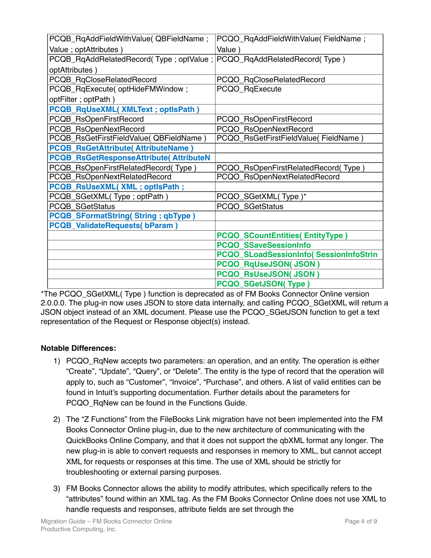| PCQB_RqAddFieldWithValue( QBFieldName;                                | PCQO_RqAddFieldWithValue(FieldName;     |
|-----------------------------------------------------------------------|-----------------------------------------|
| Value ; optAttributes )                                               | Value)                                  |
| PCQB_RqAddRelatedRecord(Type; optValue; PCQO_RqAddRelatedRecord(Type) |                                         |
| optAttributes)                                                        |                                         |
| PCQB_RqCloseRelatedRecord                                             | PCQO_RqCloseRelatedRecord               |
| PCQB_RqExecute(optHideFMWindow;                                       | PCQO_RqExecute                          |
| optFilter; optPath)                                                   |                                         |
| PCQB_RqUseXML(XMLText; optIsPath)                                     |                                         |
| PCQB_RsOpenFirstRecord                                                | PCQO_RsOpenFirstRecord                  |
| PCQB_RsOpenNextRecord                                                 | PCQO_RsOpenNextRecord                   |
| PCQB_RsGetFirstFieldValue( QBFieldName)                               | PCQO_RsGetFirstFieldValue(FieldName)    |
| <b>PCQB_RsGetAttribute( AttributeName)</b>                            |                                         |
| <b>PCQB_RsGetResponseAttribute(AttributeN</b>                         |                                         |
| PCQB_RsOpenFirstRelatedRecord(Type)                                   | PCQO_RsOpenFirstRelatedRecord(Type)     |
| PCQB_RsOpenNextRelatedRecord                                          | PCQO_RsOpenNextRelatedRecord            |
| PCQB_RsUseXML(XML; optIsPath;                                         |                                         |
| PCQB_SGetXML(Type; optPath)                                           | PCQO_SGetXML(Type)*                     |
| <b>PCQB SGetStatus</b>                                                | PCQO_SGetStatus                         |
| <b>PCQB_SFormatString(String; qbType)</b>                             |                                         |
| <b>PCQB_ValidateRequests(bParam)</b>                                  |                                         |
|                                                                       | <b>PCQO_SCountEntities(EntityType)</b>  |
|                                                                       | <b>PCQO SSaveSessionInfo</b>            |
|                                                                       | PCQO_SLoadSessionInfo( SessionInfoStrin |
|                                                                       | <b>PCQO_RqUseJSON(JSON)</b>             |
|                                                                       | <b>PCQO_RsUseJSON(JSON)</b>             |
|                                                                       | <b>PCQO_SGetJSON(Type)</b>              |

\*The PCQO\_SGetXML( Type ) function is deprecated as of FM Books Connector Online version 2.0.0.0. The plug-in now uses JSON to store data internally, and calling PCQO\_SGetXML will return a JSON object instead of an XML document. Please use the PCQO\_SGetJSON function to get a text representation of the Request or Response object(s) instead.

# **Notable Differences:**

- 1) PCQO\_RqNew accepts two parameters: an operation, and an entity. The operation is either "Create", "Update", "Query", or "Delete". The entity is the type of record that the operation will apply to, such as "Customer", "Invoice", "Purchase", and others. A list of valid entities can be found in Intuit's supporting documentation. Further details about the parameters for PCQO RqNew can be found in the Functions Guide.
- 2) The "Z Functions" from the FileBooks Link migration have not been implemented into the FM Books Connector Online plug-in, due to the new architecture of communicating with the QuickBooks Online Company, and that it does not support the qbXML format any longer. The new plug-in is able to convert requests and responses in memory to XML, but cannot accept XML for requests or responses at this time. The use of XML should be strictly for troubleshooting or external parsing purposes.
- 3) FM Books Connector allows the ability to modify attributes, which specifically refers to the "attributes" found within an XML tag. As the FM Books Connector Online does not use XML to handle requests and responses, attribute fields are set through the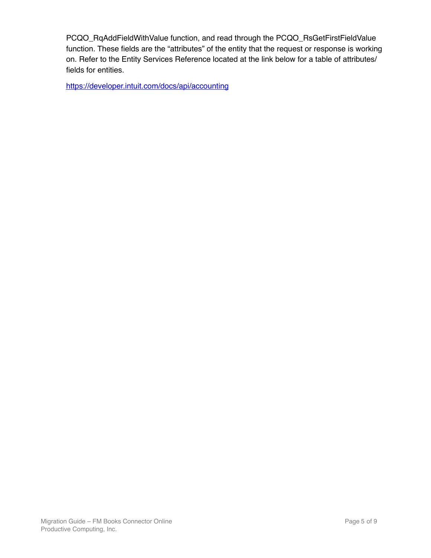PCQO\_RqAddFieldWithValue function, and read through the PCQO\_RsGetFirstFieldValue function. These fields are the "attributes" of the entity that the request or response is working on. Refer to the Entity Services Reference located at the link below for a table of attributes/ fields for entities.

<https://developer.intuit.com/docs/api/accounting>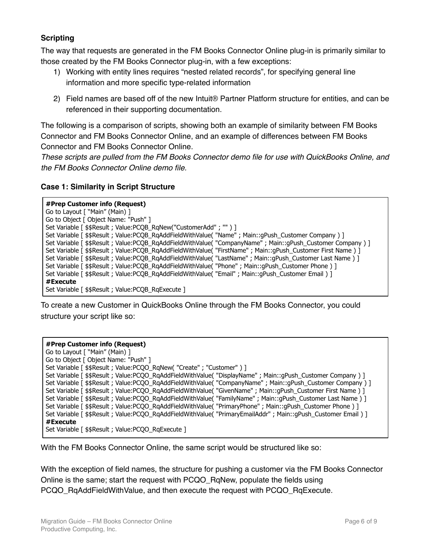# **Scripting**

The way that requests are generated in the FM Books Connector Online plug-in is primarily similar to those created by the FM Books Connector plug-in, with a few exceptions:

- 1) Working with entity lines requires "nested related records", for specifying general line information and more specific type-related information
- 2) Field names are based off of the new Intuit® Partner Platform structure for entities, and can be referenced in their supporting documentation.

The following is a comparison of scripts, showing both an example of similarity between FM Books Connector and FM Books Connector Online, and an example of differences between FM Books Connector and FM Books Connector Online.

*These scripts are pulled from the FM Books Connector demo file for use with QuickBooks Online, and the FM Books Connector Online demo file.*

## **Case 1: Similarity in Script Structure**

#### **#Prep Customer info (Request)**

| Go to Layout [ "Main" (Main) ]                                                                                |
|---------------------------------------------------------------------------------------------------------------|
| Go to Object [ Object Name: "Push" ]                                                                          |
| Set Variable [ \$\$Result ; Value:PCOB RgNew("CustomerAdd" ; "" ) ]                                           |
| Set Variable [ \$\$Result ; Value:PCQB_RgAddFieldWithValue( "Name" ; Main::gPush_Customer Company ) ]         |
| Set Variable [ \$\$Result ; Value:PCQB_RqAddFieldWithValue( "CompanyName" ; Main::gPush_Customer Company ) ]  |
| Set Variable [ \$\$Result ; Value:PCQB_RqAddFieldWithValue( "FirstName" ; Main::gPush_Customer First Name ) ] |
| Set Variable [ \$\$Result ; Value:PCQB_RqAddFieldWithValue( "LastName" ; Main::gPush_Customer Last Name ) ]   |
| Set Variable [ \$\$Result ; Value:PCQB_RqAddFieldWithValue( "Phone" ; Main::gPush_Customer Phone ) ]          |
| Set Variable [ \$\$Result ; Value:PCOB RgAddFieldWithValue( "Email" ; Main::gPush Customer Email ) ]          |
| #Execute                                                                                                      |
| Set Variable [ \$\$Result ; Value:PCQB_RqExecute ]                                                            |

To create a new Customer in QuickBooks Online through the FM Books Connector, you could structure your script like so:

#### **#Prep Customer info (Request)**

| Go to Layout [ "Main" (Main) ]                                                                                  |
|-----------------------------------------------------------------------------------------------------------------|
| Go to Object [ Object Name: "Push" ]                                                                            |
| Set Variable [ \$\$Result ; Value: PCQO_RgNew( "Create" ; "Customer" ) ]                                        |
| Set Variable [ \$\$Result ; Value:PCQO_RqAddFieldWithValue( "DisplayName" ; Main::gPush_Customer Company ) ]    |
| Set Variable [ \$\$Result ; Value:PCQO_RgAddFieldWithValue( "CompanyName" ; Main::gPush_Customer Company ) ]    |
| Set Variable [ \$\$Result ; Value:PCQO_RqAddFieldWithValue( "GivenName" ; Main::gPush_Customer First Name ) ]   |
| Set Variable [ \$\$Result ; Value:PCQO_RqAddFieldWithValue( "FamilyName" ; Main::gPush_Customer Last Name ) ]   |
| Set Variable [ \$\$Result ; Value:PCQO_RqAddFieldWithValue( "PrimaryPhone" ; Main::gPush_Customer Phone ) ]     |
| Set Variable [ \$\$Result ; Value:PCQO_RqAddFieldWithValue( "PrimaryEmailAddr" ; Main::qPush_Customer Email ) ] |
| #Execute                                                                                                        |
| Set Variable [ \$\$Result ; Value:PCOO RgExecute ]                                                              |

With the FM Books Connector Online, the same script would be structured like so:

With the exception of field names, the structure for pushing a customer via the FM Books Connector Online is the same; start the request with PCQO\_RqNew, populate the fields using PCQO\_RqAddFieldWithValue, and then execute the request with PCQO\_RqExecute.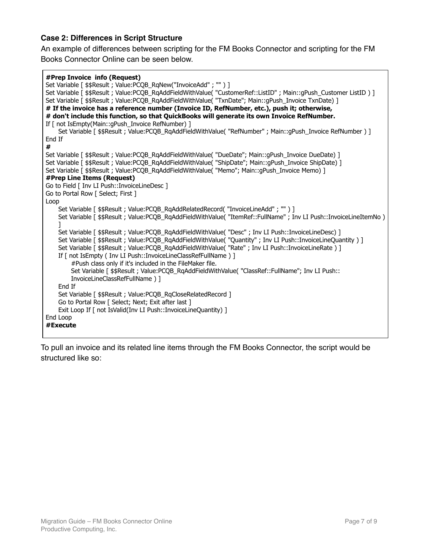## **Case 2: Differences in Script Structure**

An example of differences between scripting for the FM Books Connector and scripting for the FM Books Connector Online can be seen below.

#### **#Prep Invoice info (Request)**

```
Set Variable [ $$Result ; Value:PCQB_RqNew("InvoiceAdd" ; "" ) ]
Set Variable [ $$Result ; Value:PCQB_RqAddFieldWithValue( "CustomerRef::ListID" ; Main::qPush_Customer ListID ) ]
Set Variable [ $$Result ; Value:PCQB_RqAddFieldWithValue( "TxnDate"; Main::gPush_Invoice TxnDate) ]
# If the invoice has a reference number (Invoice ID, RefNumber, etc.), push it; otherwise,
# don't include this function, so that QuickBooks will generate its own Invoice RefNumber.
If [ not IsEmpty(Main::gPush_Invoice RefNumber) ]
    Set Variable [ $$Result ; Value:PCQB_RqAddFieldWithValue( "RefNumber" ; Main::gPush_Invoice RefNumber ) ]
End If
#
Set Variable [ $$Result ; Value:PCOB_RgAddFieldWithValue( "DueDate"; Main::gPush_Invoice DueDate) ]
Set Variable [ $$Result ; Value:PCQB_RqAddFieldWithValue( "ShipDate"; Main::qPush_Invoice ShipDate) ]
Set Variable [ $$Result ; Value:PCQB_RqAddFieldWithValue( "Memo"; Main::gPush_Invoice Memo) ]
#Prep Line Items (Request)
Go to Field [ Inv LI Push::InvoiceLineDesc ]
Go to Portal Row [ Select; First ]
Loop
    Set Variable [ $$Result ; Value:PCQB_RqAddRelatedRecord( "InvoiceLineAdd" ; "" ) ]
    Set Variable [ $$Result ; Value:PCQB_RqAddFieldWithValue( "ItemRef::FullName" ; Inv LI Push::InvoiceLineItemNo ) 
    ]
    Set Variable [ $$Result ; Value:PCQB_RqAddFieldWithValue( "Desc" ; Inv LI Push::InvoiceLineDesc) ]
    Set Variable [ $$Result ; Value:PCQB_RqAddFieldWithValue( "Quantity" ; Inv LI Push::InvoiceLineQuantity ) ]
    Set Variable [ $$Result ; Value:PCQB_RqAddFieldWithValue( "Rate" ; Inv LI Push::InvoiceLineRate ) ]
    If [ not IsEmpty ( Inv LI Push::InvoiceLineClassRefFullName ) ]
        #Push class only if it's included in the FileMaker file.
        Set Variable [ $$Result ; Value:PCQB_RqAddFieldWithValue( "ClassRef::FullName"; Inv LI Push::
        InvoiceLineClassRefFullName ) ]
    End If
    Set Variable [ $$Result ; Value:PCQB_RqCloseRelatedRecord ]
    Go to Portal Row [ Select; Next; Exit after last ]
    Exit Loop If [ not IsValid(Inv LI Push::InvoiceLineQuantity) ]
End Loop
#Execute
```
To pull an invoice and its related line items through the FM Books Connector, the script would be structured like so: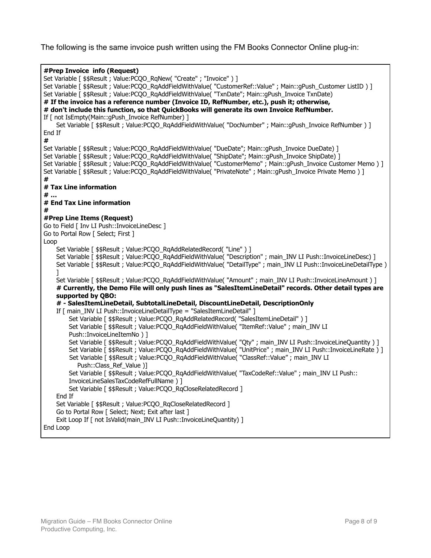The following is the same invoice push written using the FM Books Connector Online plug-in:

```
#Prep Invoice info (Request)
Set Variable [ $$Result ; Value:PCQO_RqNew( "Create" ; "Invoice" ) ]
Set Variable [ $$Result ; Value:PCQO_RqAddFieldWithValue( "CustomerRef::Value" ; Main::qPush_Customer ListID ) ]
Set Variable [ $$Result ; Value:PCQO_RqAddFieldWithValue( "TxnDate"; Main::gPush_Invoice TxnDate)
# If the invoice has a reference number (Invoice ID, RefNumber, etc.), push it; otherwise,
# don't include this function, so that QuickBooks will generate its own Invoice RefNumber.
If [ not IsEmpty(Main:: qPush Invoice RefNumber) ]
    Set Variable [ $$Result ; Value:PCOO_RqAddFieldWithValue( "DocNumber" ; Main::qPush_Invoice RefNumber ) ]
End If
#
Set Variable [ $$Result ; Value:PCOO_RqAddFieldWithValue( "DueDate"; Main::qPush_Invoice DueDate) ]
Set Variable [ $$Result ; Value:PCQO_RqAddFieldWithValue( "ShipDate"; Main::gPush_Invoice ShipDate) ]
Set Variable [ $$Result ; Value:PCQO_RqAddFieldWithValue( "CustomerMemo" ; Main::gPush_Invoice Customer Memo ) ]
Set Variable [ $$Result ; Value:PCQO_RqAddFieldWithValue( "PrivateNote" ; Main::gPush_Invoice Private Memo ) ]
#
# Tax Line information
# …
# End Tax Line information
#
#Prep Line Items (Request)
Go to Field [ Inv LI Push::InvoiceLineDesc ]
Go to Portal Row [ Select; First ]
Loop
    Set Variable [ $$Result : Value:PCOO_RgAddRelatedRecord( "Line" ) ]
    Set Variable [ $$Result ; Value:PCQO_RqAddFieldWithValue( "Description" ; main_INV LI Push::InvoiceLineDesc) ]
    Set Variable [ $$Result ; Value:PCQO_RqAddFieldWithValue( "DetailType" ; main_INV LI Push::InvoiceLineDetailType ) 
    ]
    Set Variable [ $$Result ; Value:PCQO_RqAddFieldWithValue( "Amount" ; main_INV LI Push::InvoiceLineAmount ) ]
    # Currently, the Demo File will only push lines as "SalesItemLineDetail" records. Other detail types are 
    supported by QBO:
    # - SalesItemLineDetail, SubtotalLineDetail, DiscountLineDetail, DescriptionOnly
    If [ main INV LI Push::InvoiceLineDetailType = "SalesItemLineDetail" ]
        Set Variable [ $$Result ; Value:PCQO_RqAddRelatedRecord( "SalesItemLineDetail" ) ]
        Set Variable [ $$Result ; Value:PCOO_RgAddFieldWithValue( "ItemRef::Value" ; main_INV LI
        Push::InvoiceLineItemNo ) ]
         Set Variable [ $$Result ; Value:PCQO_RqAddFieldWithValue( "Qty" ; main_INV LI Push::InvoiceLineQuantity ) ]
         Set Variable [ $$Result ; Value:PCQO_RqAddFieldWithValue( "UnitPrice" ; main_INV LI Push::InvoiceLineRate ) ]
        Set Variable [ $$Result ; Value:PCOO_RqAddFieldWithValue( "ClassRef::Value" ; main_INV LI
           Push::Class_Ref_Value )]
        Set Variable [ $$Result ; Value:PCQO_RqAddFieldWithValue( "TaxCodeRef::Value" ; main_INV LI Push::
        InvoiceLineSalesTaxCodeRefFullName ) ]
        Set Variable [ $$Result : Value: PCOO_RqCloseRelatedRecord ]
    End If
    Set Variable [ $$Result ; Value:PCQO_RqCloseRelatedRecord ]
    Go to Portal Row [ Select; Next; Exit after last ]
    Exit Loop If [ not IsValid(main_INV LI Push::InvoiceLineQuantity) ]
End Loop
```